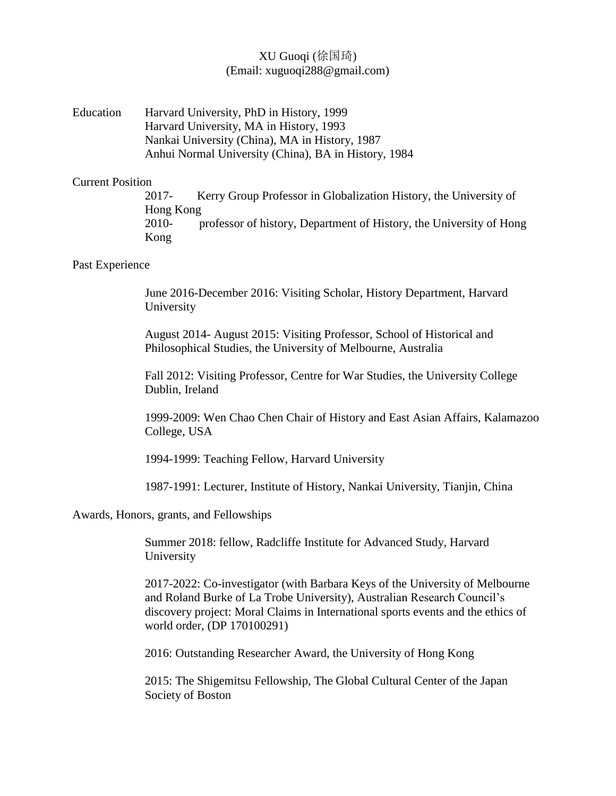# XU Guoqi (徐国琦) (Email: xuguoqi288@gmail.com)

Education Harvard University, PhD in History, 1999 Harvard University, MA in History, 1993 Nankai University (China), MA in History, 1987 Anhui Normal University (China), BA in History, 1984

### Current Position

2017- Kerry Group Professor in Globalization History, the University of Hong Kong 2010- professor of history, Department of History, the University of Hong Kong

### Past Experience

June 2016-December 2016: Visiting Scholar, History Department, Harvard University

August 2014- August 2015: Visiting Professor, School of Historical and Philosophical Studies, the University of Melbourne, Australia

Fall 2012: Visiting Professor, Centre for War Studies, the University College Dublin, Ireland

1999-2009: Wen Chao Chen Chair of History and East Asian Affairs, Kalamazoo College, USA

1994-1999: Teaching Fellow, Harvard University

1987-1991: Lecturer, Institute of History, Nankai University, Tianjin, China

Awards, Honors, grants, and Fellowships

Summer 2018: fellow, Radcliffe Institute for Advanced Study, Harvard University

2017-2022: Co-investigator (with Barbara Keys of the University of Melbourne and Roland Burke of La Trobe University), Australian Research Council's discovery project: Moral Claims in International sports events and the ethics of world order, (DP 170100291)

2016: Outstanding Researcher Award, the University of Hong Kong

2015: The Shigemitsu Fellowship, The Global Cultural Center of the Japan Society of Boston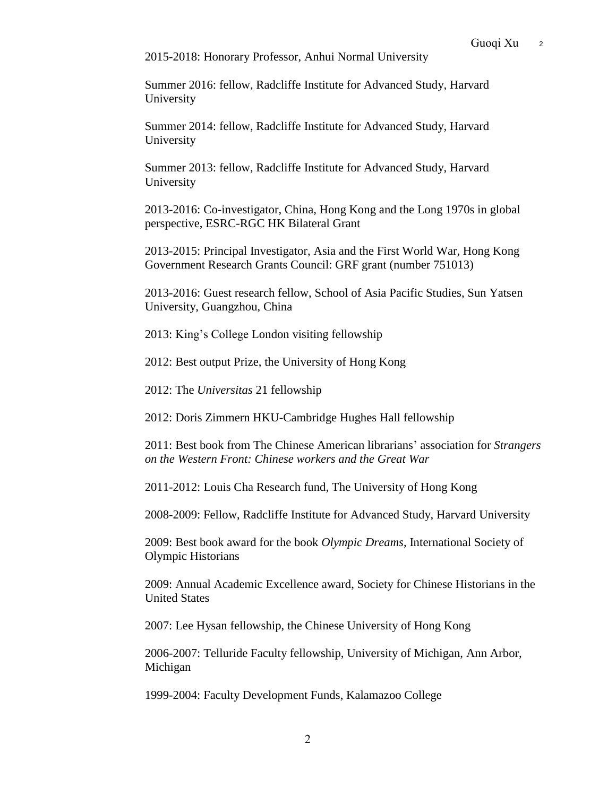2015-2018: Honorary Professor, Anhui Normal University

Summer 2016: fellow, Radcliffe Institute for Advanced Study, Harvard University

Summer 2014: fellow, Radcliffe Institute for Advanced Study, Harvard University

Summer 2013: fellow, Radcliffe Institute for Advanced Study, Harvard University

2013-2016: Co-investigator, China, Hong Kong and the Long 1970s in global perspective, ESRC-RGC HK Bilateral Grant

2013-2015: Principal Investigator, Asia and the First World War, Hong Kong Government Research Grants Council: GRF grant (number 751013)

2013-2016: Guest research fellow, School of Asia Pacific Studies, Sun Yatsen University, Guangzhou, China

2013: King's College London visiting fellowship

2012: Best output Prize, the University of Hong Kong

2012: The *Universitas* 21 fellowship

2012: Doris Zimmern HKU-Cambridge Hughes Hall fellowship

2011: Best book from The Chinese American librarians' association for *Strangers on the Western Front: Chinese workers and the Great War*

2011-2012: Louis Cha Research fund, The University of Hong Kong

2008-2009: Fellow, Radcliffe Institute for Advanced Study, Harvard University

2009: Best book award for the book *Olympic Dreams*, International Society of Olympic Historians

2009: Annual Academic Excellence award, Society for Chinese Historians in the United States

2007: Lee Hysan fellowship, the Chinese University of Hong Kong

2006-2007: Telluride Faculty fellowship, University of Michigan, Ann Arbor, Michigan

1999-2004: Faculty Development Funds, Kalamazoo College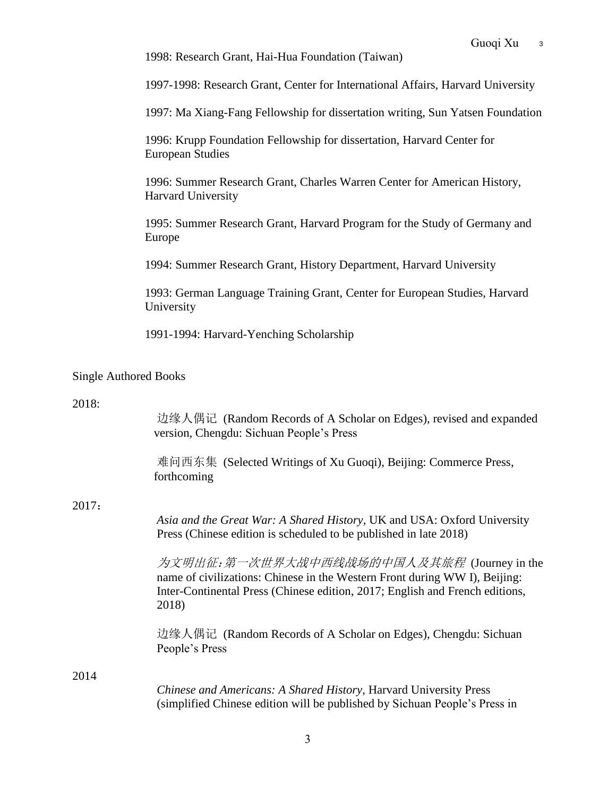1998: Research Grant, Hai-Hua Foundation (Taiwan)

1997-1998: Research Grant, Center for International Affairs, Harvard University

1997: Ma Xiang-Fang Fellowship for dissertation writing, Sun Yatsen Foundation

1996: Krupp Foundation Fellowship for dissertation, Harvard Center for European Studies

1996: Summer Research Grant, Charles Warren Center for American History, Harvard University

1995: Summer Research Grant, Harvard Program for the Study of Germany and Europe

1994: Summer Research Grant, History Department, Harvard University

1993: German Language Training Grant, Center for European Studies, Harvard University

1991-1994: Harvard-Yenching Scholarship

# Single Authored Books

### 2018:

|       | 边缘人偶记 (Random Records of A Scholar on Edges), revised and expanded<br>version, Chengdu: Sichuan People's Press                                                                                                    |
|-------|-------------------------------------------------------------------------------------------------------------------------------------------------------------------------------------------------------------------|
|       | 难问西东集 (Selected Writings of Xu Guoqi), Beijing: Commerce Press,<br>forthcoming                                                                                                                                    |
| 2017: |                                                                                                                                                                                                                   |
|       | Asia and the Great War: A Shared History, UK and USA: Oxford University<br>Press (Chinese edition is scheduled to be published in late 2018)                                                                      |
|       | 为文明出征:第一次世界大战中西线战场的中国人及其旅程 (Journey in the<br>name of civilizations: Chinese in the Western Front during WW I), Beijing:<br>Inter-Continental Press (Chinese edition, 2017; English and French editions,<br>2018) |
|       | 边缘人偶记 (Random Records of A Scholar on Edges), Chengdu: Sichuan<br>People's Press                                                                                                                                  |
| 2014  |                                                                                                                                                                                                                   |
|       | Chinese and Americans: A Shared History, Harvard University Press<br>(simplified Chinese edition will be published by Sichuan People's Press in                                                                   |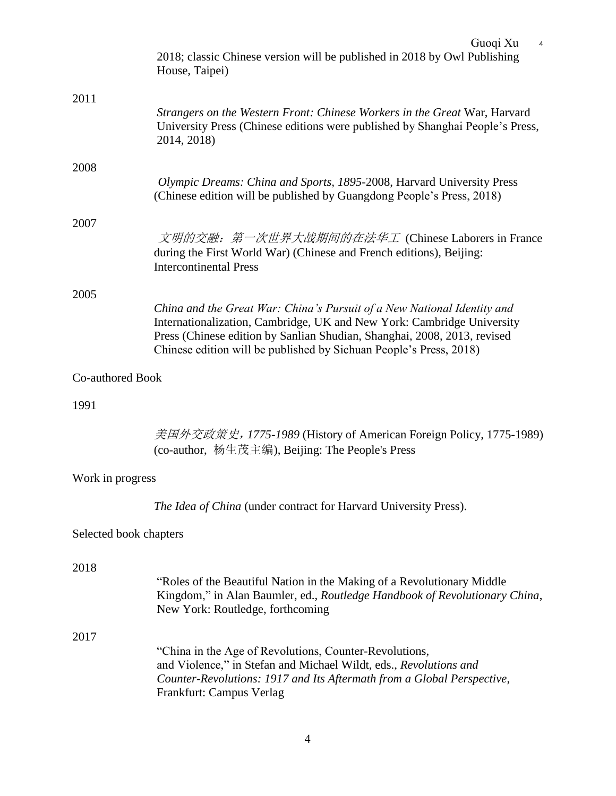|                        | Guoqi Xu<br>4<br>2018; classic Chinese version will be published in 2018 by Owl Publishing<br>House, Taipei)                                                                                                                                                                                        |
|------------------------|-----------------------------------------------------------------------------------------------------------------------------------------------------------------------------------------------------------------------------------------------------------------------------------------------------|
| 2011                   | Strangers on the Western Front: Chinese Workers in the Great War, Harvard<br>University Press (Chinese editions were published by Shanghai People's Press,<br>2014, 2018)                                                                                                                           |
| 2008                   | Olympic Dreams: China and Sports, 1895-2008, Harvard University Press<br>(Chinese edition will be published by Guangdong People's Press, 2018)                                                                                                                                                      |
| 2007                   | 文明的交融: 第一次世界大战期间的在法华工 (Chinese Laborers in France<br>during the First World War) (Chinese and French editions), Beijing:<br><b>Intercontinental Press</b>                                                                                                                                           |
| 2005                   |                                                                                                                                                                                                                                                                                                     |
|                        | China and the Great War: China's Pursuit of a New National Identity and<br>Internationalization, Cambridge, UK and New York: Cambridge University<br>Press (Chinese edition by Sanlian Shudian, Shanghai, 2008, 2013, revised<br>Chinese edition will be published by Sichuan People's Press, 2018) |
| Co-authored Book       |                                                                                                                                                                                                                                                                                                     |
| 1991                   |                                                                                                                                                                                                                                                                                                     |
|                        | 美国外交政策史, 1775-1989 (History of American Foreign Policy, 1775-1989)<br>(co-author, 杨生茂主编), Beijing: The People's Press                                                                                                                                                                               |
| Work in progress       |                                                                                                                                                                                                                                                                                                     |
|                        | The Idea of China (under contract for Harvard University Press).                                                                                                                                                                                                                                    |
| Selected book chapters |                                                                                                                                                                                                                                                                                                     |
| 2018                   |                                                                                                                                                                                                                                                                                                     |
|                        | "Roles of the Beautiful Nation in the Making of a Revolutionary Middle<br>Kingdom," in Alan Baumler, ed., Routledge Handbook of Revolutionary China,<br>New York: Routledge, forthcoming                                                                                                            |
| 2017                   |                                                                                                                                                                                                                                                                                                     |
|                        | "China in the Age of Revolutions, Counter-Revolutions,<br>and Violence," in Stefan and Michael Wildt, eds., Revolutions and<br>Counter-Revolutions: 1917 and Its Aftermath from a Global Perspective,<br>Frankfurt: Campus Verlag                                                                   |
|                        |                                                                                                                                                                                                                                                                                                     |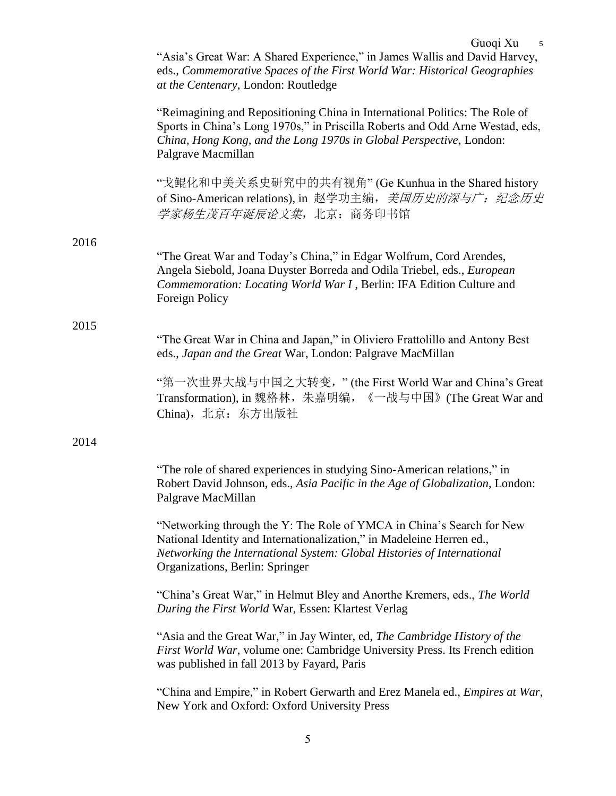|      | Guoqi Xu<br>5<br>"Asia's Great War: A Shared Experience," in James Wallis and David Harvey,<br>eds., Commemorative Spaces of the First World War: Historical Geographies<br>at the Centenary, London: Routledge                                             |
|------|-------------------------------------------------------------------------------------------------------------------------------------------------------------------------------------------------------------------------------------------------------------|
|      | "Reimagining and Repositioning China in International Politics: The Role of<br>Sports in China's Long 1970s," in Priscilla Roberts and Odd Arne Westad, eds,<br>China, Hong Kong, and the Long 1970s in Global Perspective, London:<br>Palgrave Macmillan   |
|      | "戈鲲化和中美关系史研究中的共有视角" (Ge Kunhua in the Shared history<br>of Sino-American relations), in 赵学功主编, <i>美国历史的深与广: 纪念历史</i><br>学家杨生茂百年诞辰论文集, 北京: 商务印书馆                                                                                                             |
| 2016 |                                                                                                                                                                                                                                                             |
|      | "The Great War and Today's China," in Edgar Wolfrum, Cord Arendes,<br>Angela Siebold, Joana Duyster Borreda and Odila Triebel, eds., European<br>Commemoration: Locating World War I, Berlin: IFA Edition Culture and<br>Foreign Policy                     |
| 2015 |                                                                                                                                                                                                                                                             |
|      | "The Great War in China and Japan," in Oliviero Frattolillo and Antony Best<br>eds., Japan and the Great War, London: Palgrave MacMillan                                                                                                                    |
|      | "第一次世界大战与中国之大转变,"(the First World War and China's Great<br>Transformation), in 魏格林, 朱嘉明编, 《一战与中国》(The Great War and<br>China), 北京: 东方出版社                                                                                                                    |
| 2014 |                                                                                                                                                                                                                                                             |
|      | "The role of shared experiences in studying Sino-American relations," in<br>Robert David Johnson, eds., Asia Pacific in the Age of Globalization, London:<br>Palgrave MacMillan                                                                             |
|      | "Networking through the Y: The Role of YMCA in China's Search for New<br>National Identity and Internationalization," in Madeleine Herren ed.,<br>Networking the International System: Global Histories of International<br>Organizations, Berlin: Springer |
|      | "China's Great War," in Helmut Bley and Anorthe Kremers, eds., The World<br>During the First World War, Essen: Klartest Verlag                                                                                                                              |
|      | "Asia and the Great War," in Jay Winter, ed, The Cambridge History of the<br>First World War, volume one: Cambridge University Press. Its French edition<br>was published in fall 2013 by Fayard, Paris                                                     |
|      | "China and Empire," in Robert Gerwarth and Erez Manela ed., <i>Empires at War</i> ,<br>New York and Oxford: Oxford University Press                                                                                                                         |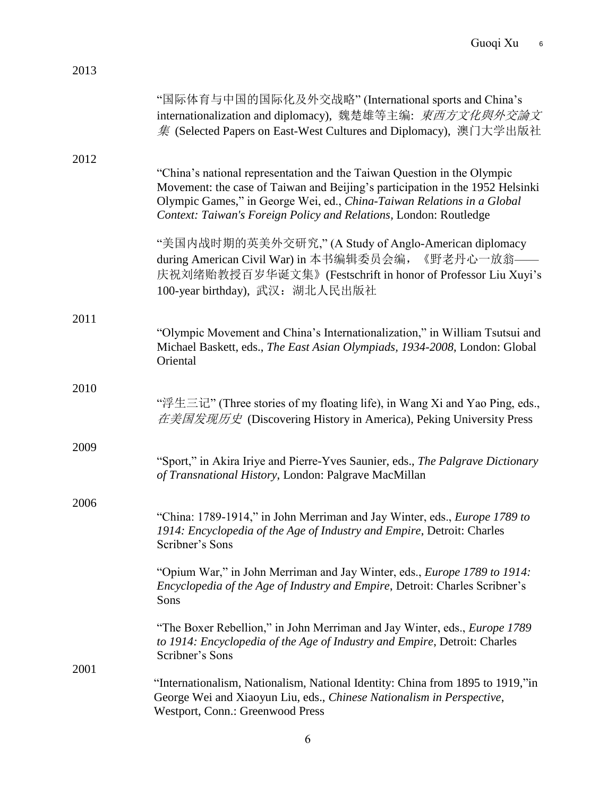| 2013 |                                                                                                                                                                                                                                                                                                         |
|------|---------------------------------------------------------------------------------------------------------------------------------------------------------------------------------------------------------------------------------------------------------------------------------------------------------|
|      | "国际体育与中国的国际化及外交战略" (International sports and China's<br>internationalization and diplomacy), 魏楚雄等主编: 東西方文化與外交論文<br>集 (Selected Papers on East-West Cultures and Diplomacy), 澳门大学出版社                                                                                                                     |
| 2012 | "China's national representation and the Taiwan Question in the Olympic<br>Movement: the case of Taiwan and Beijing's participation in the 1952 Helsinki<br>Olympic Games," in George Wei, ed., China-Taiwan Relations in a Global<br>Context: Taiwan's Foreign Policy and Relations, London: Routledge |
|      | "美国内战时期的英美外交研究," (A Study of Anglo-American diplomacy<br>during American Civil War) in 本书编辑委员会编, 《野老丹心一放翁——<br>庆祝刘绪贻教授百岁华诞文集》(Festschrift in honor of Professor Liu Xuyi's<br>100-year birthday), 武汉: 湖北人民出版社                                                                                           |
| 2011 | "Olympic Movement and China's Internationalization," in William Tsutsui and<br>Michael Baskett, eds., The East Asian Olympiads, 1934-2008, London: Global<br>Oriental                                                                                                                                   |
| 2010 | "浮生三记" (Three stories of my floating life), in Wang Xi and Yao Ping, eds.,<br>在美国发现历史 (Discovering History in America), Peking University Press                                                                                                                                                         |
| 2009 | "Sport," in Akira Iriye and Pierre-Yves Saunier, eds., The Palgrave Dictionary<br>of Transnational History, London: Palgrave MacMillan                                                                                                                                                                  |
| 2006 | "China: 1789-1914," in John Merriman and Jay Winter, eds., <i>Europe 1789 to</i><br>1914: Encyclopedia of the Age of Industry and Empire, Detroit: Charles<br>Scribner's Sons                                                                                                                           |
|      | "Opium War," in John Merriman and Jay Winter, eds., <i>Europe 1789 to 1914</i> :<br>Encyclopedia of the Age of Industry and Empire, Detroit: Charles Scribner's<br>Sons                                                                                                                                 |
|      | "The Boxer Rebellion," in John Merriman and Jay Winter, eds., <i>Europe 1789</i><br>to 1914: Encyclopedia of the Age of Industry and Empire, Detroit: Charles<br>Scribner's Sons                                                                                                                        |
| 2001 | "Internationalism, Nationalism, National Identity: China from 1895 to 1919,"in<br>George Wei and Xiaoyun Liu, eds., Chinese Nationalism in Perspective,<br>Westport, Conn.: Greenwood Press                                                                                                             |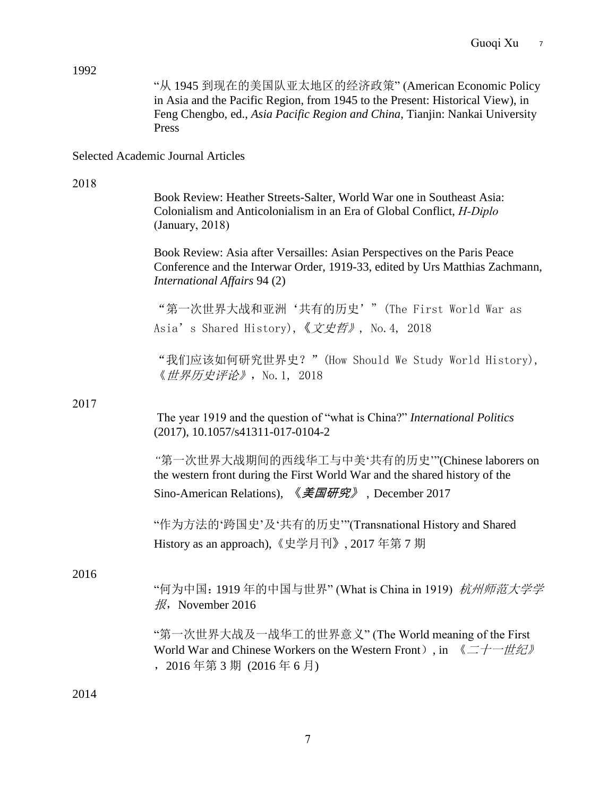| 1992 | "从 1945 到现在的美国队亚太地区的经济政策" (American Economic Policy<br>in Asia and the Pacific Region, from 1945 to the Present: Historical View), in<br>Feng Chengbo, ed., Asia Pacific Region and China, Tianjin: Nankai University<br>Press |
|------|--------------------------------------------------------------------------------------------------------------------------------------------------------------------------------------------------------------------------------|
|      | <b>Selected Academic Journal Articles</b>                                                                                                                                                                                      |
| 2018 | Book Review: Heather Streets-Salter, World War one in Southeast Asia:<br>Colonialism and Anticolonialism in an Era of Global Conflict, H-Diplo<br>(January, 2018)                                                              |
|      | Book Review: Asia after Versailles: Asian Perspectives on the Paris Peace<br>Conference and the Interwar Order, 1919-33, edited by Urs Matthias Zachmann,<br>International Affairs 94 (2)                                      |
|      | "第一次世界大战和亚洲'共有的历史'" (The First World War as<br>Asia's Shared History), 《文史哲》, No. 4, 2018                                                                                                                                      |
|      | "我们应该如何研究世界史? " (How Should We Study World History),<br>《 <i>世界历史评论》</i> , No. 1, 2018                                                                                                                                         |
| 2017 | The year 1919 and the question of "what is China?" International Politics<br>$(2017), 10.1057/s41311-017-0104-2$                                                                                                               |
|      | "第一次世界大战期间的西线华工与中美'共有的历史'"(Chinese laborers on<br>the western front during the First World War and the shared history of the<br>Sino-American Relations), 《 <i>美国研究》</i> , December 2017                                       |
|      | "作为方法的'跨国史'及'共有的历史'"(Transnational History and Shared<br>History as an approach), 《史学月刊》, 2017年第7期                                                                                                                             |
| 2016 | "何为中国: 1919年的中国与世界" (What is China in 1919) 杭州师范大学学<br>$\frac{1}{10}$ , November 2016                                                                                                                                          |
|      | "第一次世界大战及一战华工的世界意义" (The World meaning of the First<br>World War and Chinese Workers on the Western Front), in $\langle \angle \angle + \angle \angle \angle \angle$<br>, 2016年第3期 (2016年6月)                                   |
| 2014 |                                                                                                                                                                                                                                |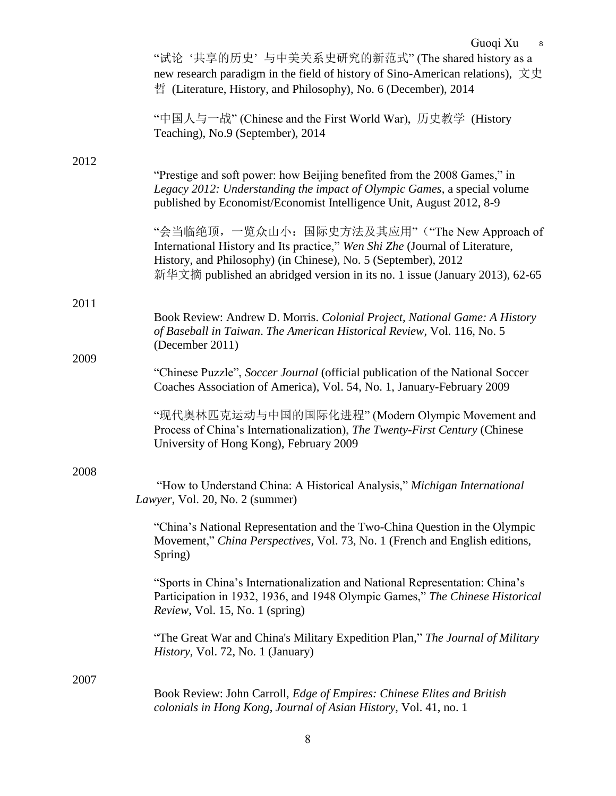|      | "试论'共享的历史'与中美关系史研究的新范式"(The shared history as a<br>new research paradigm in the field of history of Sino-American relations), $\overline{\chi} \overline{\chi}$<br>哲 (Literature, History, and Philosophy), No. 6 (December), 2014                                              |
|------|---------------------------------------------------------------------------------------------------------------------------------------------------------------------------------------------------------------------------------------------------------------------------------|
|      | "中国人与一战" (Chinese and the First World War), 历史教学 (History<br>Teaching), No.9 (September), 2014                                                                                                                                                                                  |
| 2012 | "Prestige and soft power: how Beijing benefited from the 2008 Games," in<br>Legacy 2012: Understanding the impact of Olympic Games, a special volume<br>published by Economist/Economist Intelligence Unit, August 2012, 8-9                                                    |
|      | "会当临绝顶, 一览众山小: 国际史方法及其应用"("The New Approach of<br>International History and Its practice," Wen Shi Zhe (Journal of Literature,<br>History, and Philosophy) (in Chinese), No. 5 (September), 2012<br>新华文摘 published an abridged version in its no. 1 issue (January 2013), 62-65 |
| 2011 |                                                                                                                                                                                                                                                                                 |
|      | Book Review: Andrew D. Morris. Colonial Project, National Game: A History<br>of Baseball in Taiwan. The American Historical Review, Vol. 116, No. 5<br>(December 2011)                                                                                                          |
| 2009 | "Chinese Puzzle", Soccer Journal (official publication of the National Soccer<br>Coaches Association of America), Vol. 54, No. 1, January-February 2009                                                                                                                         |
|      | "现代奥林匹克运动与中国的国际化进程" (Modern Olympic Movement and<br>Process of China's Internationalization), The Twenty-First Century (Chinese<br>University of Hong Kong), February 2009                                                                                                      |
| 2008 |                                                                                                                                                                                                                                                                                 |
|      | "How to Understand China: A Historical Analysis," Michigan International<br>Lawyer, Vol. 20, No. 2 (summer)                                                                                                                                                                     |
|      | "China's National Representation and the Two-China Question in the Olympic<br>Movement," China Perspectives, Vol. 73, No. 1 (French and English editions,<br>Spring)                                                                                                            |
|      | "Sports in China's Internationalization and National Representation: China's<br>Participation in 1932, 1936, and 1948 Olympic Games," The Chinese Historical<br><i>Review</i> , Vol. 15, No. 1 (spring)                                                                         |
|      | "The Great War and China's Military Expedition Plan," The Journal of Military<br><i>History</i> , Vol. 72, No. 1 (January)                                                                                                                                                      |
| 2007 | Book Review: John Carroll, Edge of Empires: Chinese Elites and British<br>colonials in Hong Kong, Journal of Asian History, Vol. 41, no. 1                                                                                                                                      |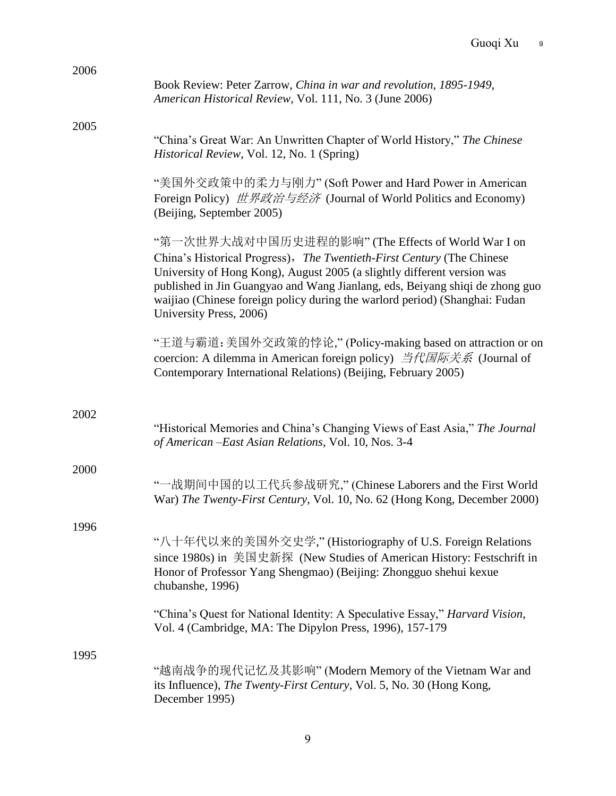| 2006 |                                                                                                                                                                                                                                                                                                                                                                                                   |
|------|---------------------------------------------------------------------------------------------------------------------------------------------------------------------------------------------------------------------------------------------------------------------------------------------------------------------------------------------------------------------------------------------------|
|      | Book Review: Peter Zarrow, China in war and revolution, 1895-1949,<br>American Historical Review, Vol. 111, No. 3 (June 2006)                                                                                                                                                                                                                                                                     |
| 2005 |                                                                                                                                                                                                                                                                                                                                                                                                   |
|      | "China's Great War: An Unwritten Chapter of World History," The Chinese<br>Historical Review, Vol. 12, No. 1 (Spring)                                                                                                                                                                                                                                                                             |
|      | "美国外交政策中的柔力与刚力" (Soft Power and Hard Power in American<br>Foreign Policy) 世界政治与经济 (Journal of World Politics and Economy)<br>(Beijing, September 2005)                                                                                                                                                                                                                                            |
|      | "第一次世界大战对中国历史进程的影响" (The Effects of World War I on<br>China's Historical Progress), The Twentieth-First Century (The Chinese<br>University of Hong Kong), August 2005 (a slightly different version was<br>published in Jin Guangyao and Wang Jianlang, eds, Beiyang shiqi de zhong guo<br>waijiao (Chinese foreign policy during the warlord period) (Shanghai: Fudan<br>University Press, 2006) |
|      | "王道与霸道: 美国外交政策的悖论," (Policy-making based on attraction or on<br>coercion: A dilemma in American foreign policy) 当代国际关系 (Journal of<br>Contemporary International Relations) (Beijing, February 2005)                                                                                                                                                                                              |
|      |                                                                                                                                                                                                                                                                                                                                                                                                   |
| 2002 | "Historical Memories and China's Changing Views of East Asia," The Journal<br>of American - East Asian Relations, Vol. 10, Nos. 3-4                                                                                                                                                                                                                                                               |
| 2000 | "一战期间中国的以工代兵参战研究," (Chinese Laborers and the First World<br>War) The Twenty-First Century, Vol. 10, No. 62 (Hong Kong, December 2000)                                                                                                                                                                                                                                                             |
| 1996 |                                                                                                                                                                                                                                                                                                                                                                                                   |
|      | "八十年代以来的美国外交史学," (Historiography of U.S. Foreign Relations<br>since 1980s) in 美国史新探 (New Studies of American History: Festschrift in<br>Honor of Professor Yang Shengmao) (Beijing: Zhongguo shehui kexue<br>chubanshe, 1996)                                                                                                                                                                     |
|      | "China's Quest for National Identity: A Speculative Essay," Harvard Vision,<br>Vol. 4 (Cambridge, MA: The Dipylon Press, 1996), 157-179                                                                                                                                                                                                                                                           |
| 1995 |                                                                                                                                                                                                                                                                                                                                                                                                   |
|      | "越南战争的现代记忆及其影响" (Modern Memory of the Vietnam War and<br>its Influence), The Twenty-First Century, Vol. 5, No. 30 (Hong Kong,<br>December 1995)                                                                                                                                                                                                                                                   |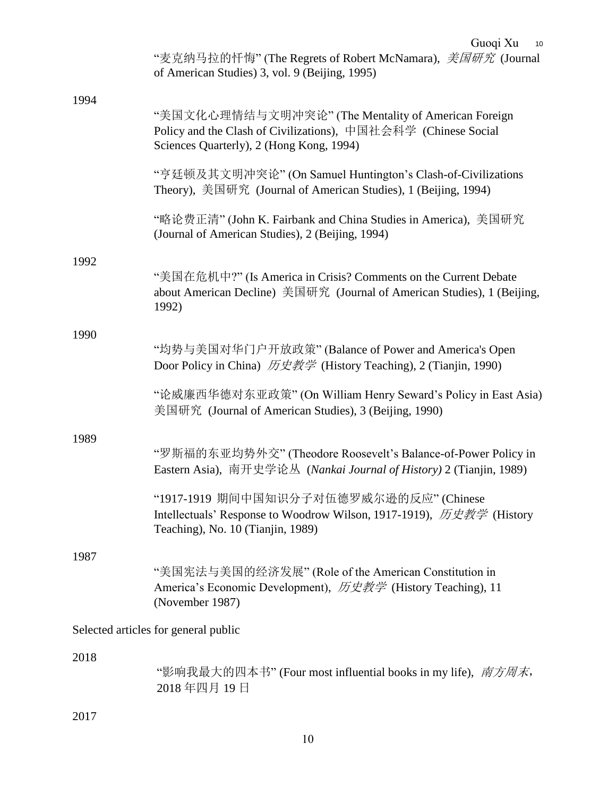|      | Guoqi Xu<br>10<br>"麦克纳马拉的忏悔" (The Regrets of Robert McNamara), <i>美国研究</i> (Journal                                                                               |
|------|-------------------------------------------------------------------------------------------------------------------------------------------------------------------|
|      | of American Studies) 3, vol. 9 (Beijing, 1995)                                                                                                                    |
| 1994 | "美国文化心理情结与文明冲突论" (The Mentality of American Foreign<br>Policy and the Clash of Civilizations), 中国社会科学 (Chinese Social<br>Sciences Quarterly), 2 (Hong Kong, 1994) |
|      | "亨廷顿及其文明冲突论" (On Samuel Huntington's Clash-of-Civilizations<br>Theory), 美国研究 (Journal of American Studies), 1 (Beijing, 1994)                                     |
|      | "略论费正清" (John K. Fairbank and China Studies in America), 美国研究<br>(Journal of American Studies), 2 (Beijing, 1994)                                                 |
| 1992 | "美国在危机中?" (Is America in Crisis? Comments on the Current Debate<br>about American Decline) 美国研究 (Journal of American Studies), 1 (Beijing,<br>1992)               |
| 1990 | "均势与美国对华门户开放政策" (Balance of Power and America's Open<br>Door Policy in China) 历史教学 (History Teaching), 2 (Tianjin, 1990)                                          |
|      | "论威廉西华德对东亚政策" (On William Henry Seward's Policy in East Asia)<br>美国研究 (Journal of American Studies), 3 (Beijing, 1990)                                            |
| 1989 | "罗斯福的东亚均势外交" (Theodore Roosevelt's Balance-of-Power Policy in<br>Eastern Asia), 南开史学论丛 (Nankai Journal of History) 2 (Tianjin, 1989)                              |
|      | "1917-1919 期间中国知识分子对伍德罗威尔逊的反应" (Chinese<br>Intellectuals' Response to Woodrow Wilson, 1917-1919), 历史教学 (History<br>Teaching), No. 10 (Tianjin, 1989)              |
| 1987 | "美国宪法与美国的经济发展" (Role of the American Constitution in<br>America's Economic Development), 历史教学 (History Teaching), 11<br>(November 1987)                           |
|      | Selected articles for general public                                                                                                                              |
| 2018 | "影响我最大的四本书" (Four most influential books in my life), <i>南方周末</i> ,<br>2018年四月19日                                                                                 |
| 2017 |                                                                                                                                                                   |
|      | 10                                                                                                                                                                |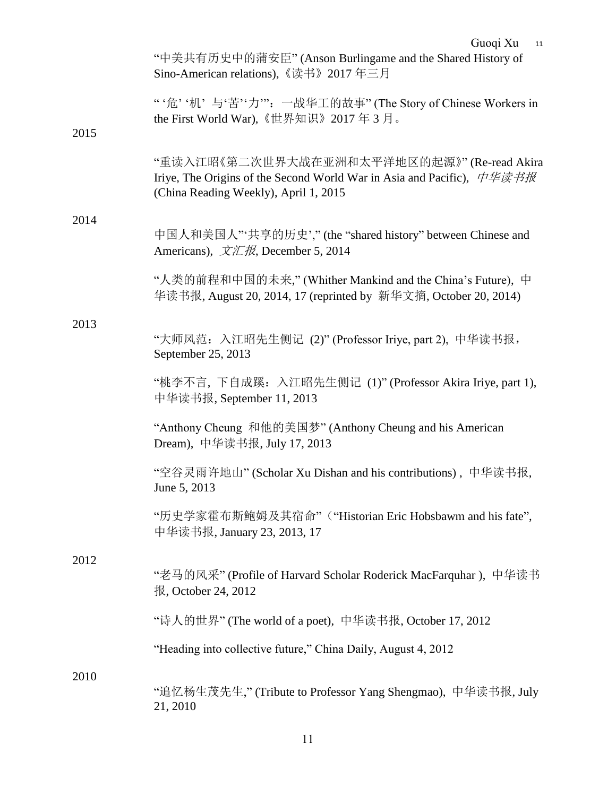|      | Guoqi Xu<br>11<br>"中美共有历史中的蒲安臣" (Anson Burlingame and the Shared History of<br>Sino-American relations), 《读书》2017年三月                                                                     |
|------|------------------------------------------------------------------------------------------------------------------------------------------------------------------------------------------|
| 2015 | "'危''机'与'苦''力'": 一战华工的故事" (The Story of Chinese Workers in<br>the First World War), 《世界知识》2017年3月。                                                                                       |
|      | "重读入江昭《第二次世界大战在亚洲和太平洋地区的起源》"(Re-read Akira<br>Iriye, The Origins of the Second World War in Asia and Pacific), $\psi \psi \neq \psi \pi + \psi$<br>(China Reading Weekly), April 1, 2015 |
| 2014 | 中国人和美国人"'共享的历史'," (the "shared history" between Chinese and<br>Americans), $\overline{\mathcal{X}}\mathcal{I}\mathcal{I}\mathcal{H}$ , December 5, 2014                                  |
|      | "人类的前程和中国的未来," (Whither Mankind and the China's Future), 中<br>华读书报, August 20, 2014, 17 (reprinted by 新华文摘, October 20, 2014)                                                            |
| 2013 | "大师风范: 入江昭先生侧记 (2)"(Professor Iriye, part 2), 中华读书报,<br>September 25, 2013                                                                                                               |
|      | "桃李不言, 下自成蹊: 入江昭先生侧记 (1)" (Professor Akira Iriye, part 1),<br>中华读书报, September 11, 2013                                                                                                  |
|      | "Anthony Cheung 和他的美国梦" (Anthony Cheung and his American<br>Dream), 中华读书报, July 17, 2013                                                                                                 |
|      | "空谷灵雨许地山" (Scholar Xu Dishan and his contributions), 中华读书报,<br>June 5, 2013                                                                                                              |
|      | "历史学家霍布斯鲍姆及其宿命"("Historian Eric Hobsbawm and his fate",<br>中华读书报, January 23, 2013, 17                                                                                                   |
| 2012 | "老马的风采" (Profile of Harvard Scholar Roderick MacFarquhar), 中华读书<br>报, October 24, 2012                                                                                                   |
|      | "诗人的世界" (The world of a poet), 中华读书报, October 17, 2012                                                                                                                                   |
|      | "Heading into collective future," China Daily, August 4, 2012                                                                                                                            |
| 2010 | "追忆杨生茂先生," (Tribute to Professor Yang Shengmao),中华读书报, July<br>21, 2010                                                                                                                  |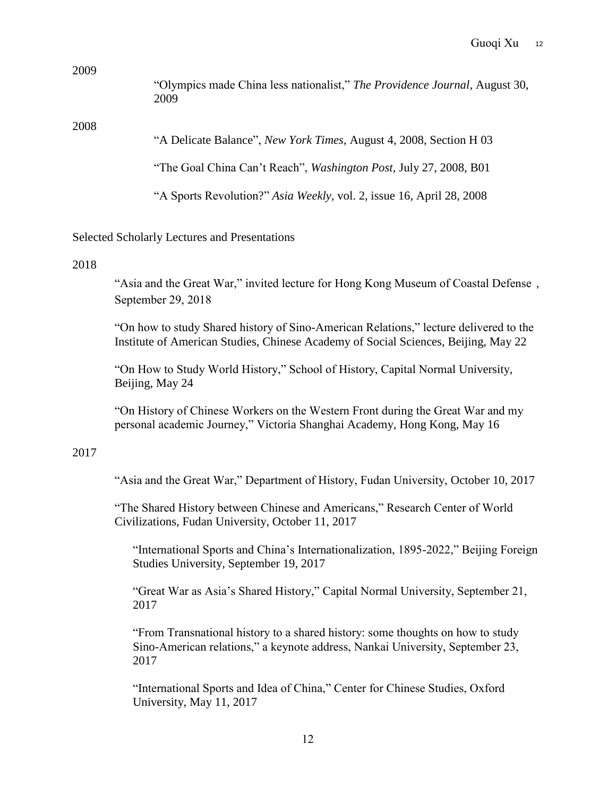"Olympics made China less nationalist," *The Providence Journal*, August 30, 2009

#### 2008

"A Delicate Balance", *New York Times*, August 4, 2008, Section H 03

"The Goal China Can't Reach", *Washington Post,* July 27, 2008, B01

"A Sports Revolution?" *Asia Weekly,* vol. 2, issue 16, April 28, 2008

Selected Scholarly Lectures and Presentations

### 2018

"Asia and the Great War," invited lecture for Hong Kong Museum of Coastal Defense, September 29, 2018

"On how to study Shared history of Sino-American Relations," lecture delivered to the Institute of American Studies, Chinese Academy of Social Sciences, Beijing, May 22

"On How to Study World History," School of History, Capital Normal University, Beijing, May 24

"On History of Chinese Workers on the Western Front during the Great War and my personal academic Journey," Victoria Shanghai Academy, Hong Kong, May 16

### 2017

"Asia and the Great War," Department of History, Fudan University, October 10, 2017

"The Shared History between Chinese and Americans," Research Center of World Civilizations, Fudan University, October 11, 2017

"International Sports and China's Internationalization, 1895-2022," Beijing Foreign Studies University, September 19, 2017

"Great War as Asia's Shared History," Capital Normal University, September 21, 2017

"From Transnational history to a shared history: some thoughts on how to study Sino-American relations," a keynote address, Nankai University, September 23, 2017

"International Sports and Idea of China," Center for Chinese Studies, Oxford University, May 11, 2017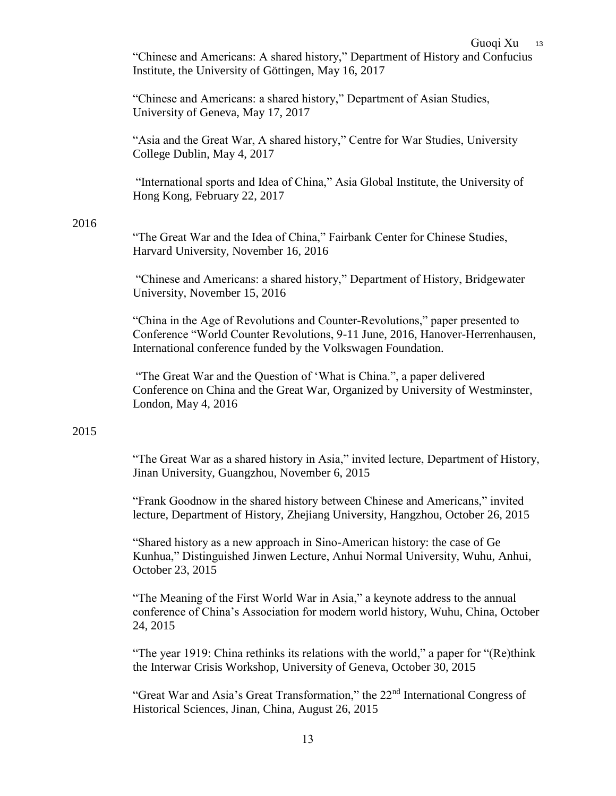"Chinese and Americans: A shared history," Department of History and Confucius Institute, the University of Göttingen, May 16, 2017

"Chinese and Americans: a shared history," Department of Asian Studies, University of Geneva, May 17, 2017

"Asia and the Great War, A shared history," Centre for War Studies, University College Dublin, May 4, 2017

"International sports and Idea of China," Asia Global Institute, the University of Hong Kong, February 22, 2017

## 2016

"The Great War and the Idea of China," Fairbank Center for Chinese Studies, Harvard University, November 16, 2016

"Chinese and Americans: a shared history," Department of History, Bridgewater University, November 15, 2016

"China in the Age of Revolutions and Counter-Revolutions," paper presented to Conference "World Counter Revolutions, 9-11 June, 2016, Hanover-Herrenhausen, International conference funded by the Volkswagen Foundation.

"The Great War and the Question of 'What is China.", a paper delivered Conference on China and the Great War, Organized by University of Westminster, London, May 4, 2016

## 2015

"The Great War as a shared history in Asia," invited lecture, Department of History, Jinan University, Guangzhou, November 6, 2015

"Frank Goodnow in the shared history between Chinese and Americans," invited lecture, Department of History, Zhejiang University, Hangzhou, October 26, 2015

"Shared history as a new approach in Sino-American history: the case of Ge Kunhua," Distinguished Jinwen Lecture, Anhui Normal University, Wuhu, Anhui, October 23, 2015

"The Meaning of the First World War in Asia," a keynote address to the annual conference of China's Association for modern world history, Wuhu, China, October 24, 2015

"The year 1919: China rethinks its relations with the world," a paper for "(Re)think the Interwar Crisis Workshop, University of Geneva, October 30, 2015

"Great War and Asia's Great Transformation," the 22nd International Congress of Historical Sciences, Jinan, China, August 26, 2015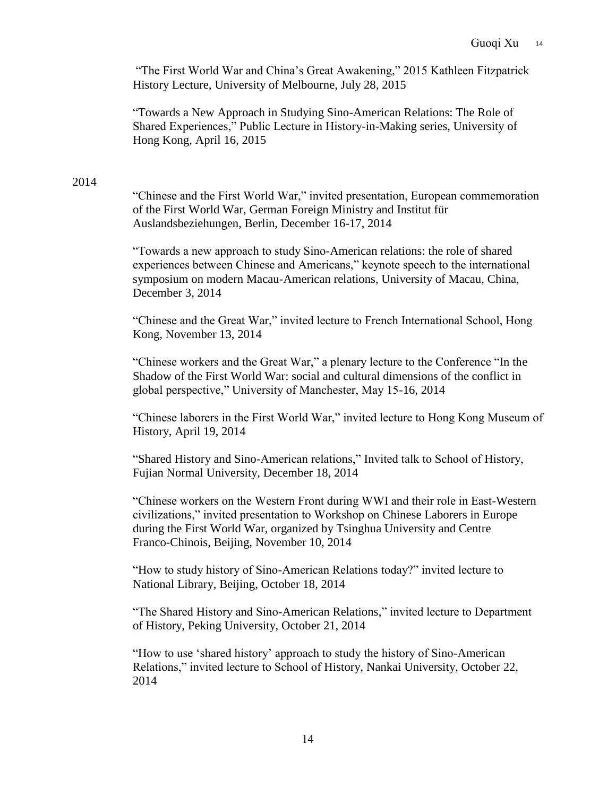"The First World War and China's Great Awakening," 2015 Kathleen Fitzpatrick History Lecture, University of Melbourne, July 28, 2015

"Towards a New Approach in Studying Sino-American Relations: The Role of Shared Experiences," Public Lecture in History-in-Making series, University of Hong Kong, April 16, 2015

## 2014

"Chinese and the First World War," invited presentation, European commemoration of the First World War, German Foreign Ministry and Institut für Auslandsbeziehungen, Berlin, December 16-17, 2014

"Towards a new approach to study Sino-American relations: the role of shared experiences between Chinese and Americans," keynote speech to the international symposium on modern Macau-American relations, University of Macau, China, December 3, 2014

"Chinese and the Great War," invited lecture to French International School, Hong Kong, November 13, 2014

"Chinese workers and the Great War," a plenary lecture to the Conference "In the Shadow of the First World War: social and cultural dimensions of the conflict in global perspective," University of Manchester, May 15-16, 2014

"Chinese laborers in the First World War," invited lecture to Hong Kong Museum of History, April 19, 2014

"Shared History and Sino-American relations," Invited talk to School of History, Fujian Normal University, December 18, 2014

"Chinese workers on the Western Front during WWI and their role in East-Western civilizations," invited presentation to Workshop on Chinese Laborers in Europe during the First World War, organized by Tsinghua University and Centre Franco-Chinois, Beijing, November 10, 2014

"How to study history of Sino-American Relations today?" invited lecture to National Library, Beijing, October 18, 2014

"The Shared History and Sino-American Relations," invited lecture to Department of History, Peking University, October 21, 2014

"How to use 'shared history' approach to study the history of Sino-American Relations," invited lecture to School of History, Nankai University, October 22, 2014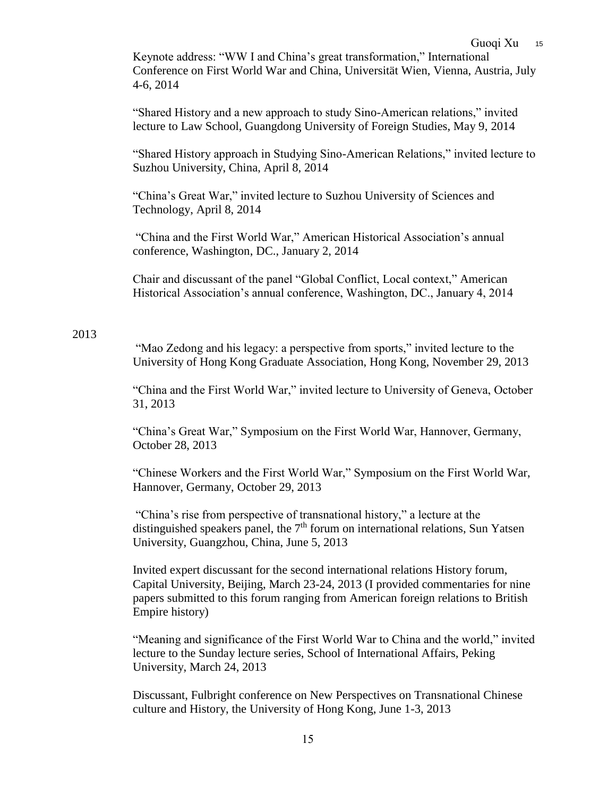Keynote address: "WW I and China's great transformation," International Conference on First World War and China, Universität Wien, Vienna, Austria, July 4-6, 2014

"Shared History and a new approach to study Sino-American relations," invited lecture to Law School, Guangdong University of Foreign Studies, May 9, 2014

"Shared History approach in Studying Sino-American Relations," invited lecture to Suzhou University, China, April 8, 2014

"China's Great War," invited lecture to Suzhou University of Sciences and Technology, April 8, 2014

"China and the First World War," American Historical Association's annual conference, Washington, DC., January 2, 2014

Chair and discussant of the panel "Global Conflict, Local context," American Historical Association's annual conference, Washington, DC., January 4, 2014

## 2013

"Mao Zedong and his legacy: a perspective from sports," invited lecture to the University of Hong Kong Graduate Association, Hong Kong, November 29, 2013

"China and the First World War," invited lecture to University of Geneva, October 31, 2013

"China's Great War," Symposium on the First World War, Hannover, Germany, October 28, 2013

"Chinese Workers and the First World War," Symposium on the First World War, Hannover, Germany, October 29, 2013

"China's rise from perspective of transnational history," a lecture at the distinguished speakers panel, the  $7<sup>th</sup>$  forum on international relations, Sun Yatsen University, Guangzhou, China, June 5, 2013

Invited expert discussant for the second international relations History forum, Capital University, Beijing, March 23-24, 2013 (I provided commentaries for nine papers submitted to this forum ranging from American foreign relations to British Empire history)

"Meaning and significance of the First World War to China and the world," invited lecture to the Sunday lecture series, School of International Affairs, Peking University, March 24, 2013

Discussant, Fulbright conference on New Perspectives on Transnational Chinese culture and History, the University of Hong Kong, June 1-3, 2013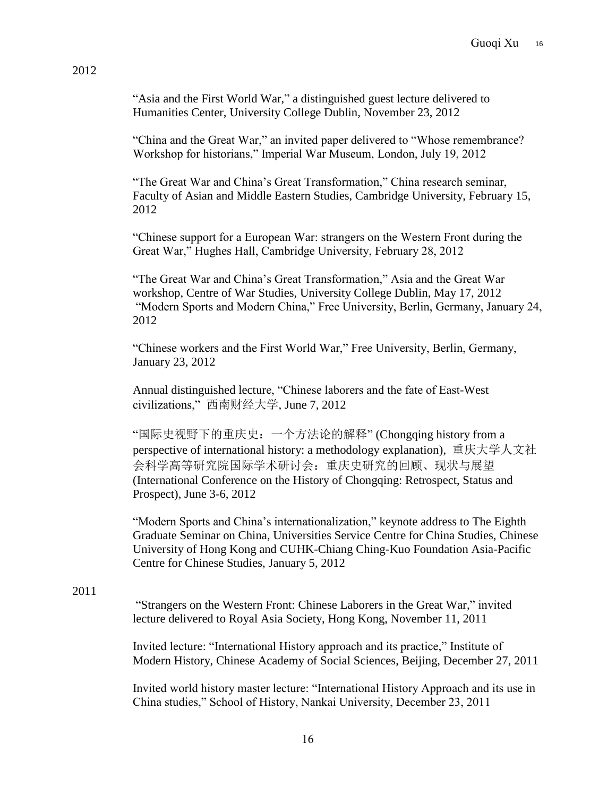"Asia and the First World War," a distinguished guest lecture delivered to Humanities Center, University College Dublin, November 23, 2012

"China and the Great War," an invited paper delivered to "Whose remembrance? Workshop for historians," Imperial War Museum, London, July 19, 2012

"The Great War and China's Great Transformation," China research seminar, Faculty of Asian and Middle Eastern Studies, Cambridge University, February 15, 2012

"Chinese support for a European War: strangers on the Western Front during the Great War," Hughes Hall, Cambridge University, February 28, 2012

"The Great War and China's Great Transformation," Asia and the Great War workshop, Centre of War Studies, University College Dublin, May 17, 2012 "Modern Sports and Modern China," Free University, Berlin, Germany, January 24, 2012

"Chinese workers and the First World War," Free University, Berlin, Germany, January 23, 2012

Annual distinguished lecture, "Chinese laborers and the fate of East-West civilizations," 西南财经大学, June 7, 2012

"国际史视野下的重庆史:一个方法论的解释" (Chongqing history from a perspective of international history: a methodology explanation), 重庆大学人文社 会科学高等研究院国际学术研讨会:重庆史研究的回顾、现状与展望 (International Conference on the History of Chongqing: Retrospect, Status and Prospect), June 3-6, 2012

"Modern Sports and China's internationalization," keynote address to The Eighth Graduate Seminar on China, Universities Service Centre for China Studies, Chinese University of Hong Kong and CUHK-Chiang Ching-Kuo Foundation Asia-Pacific Centre for Chinese Studies, January 5, 2012

### 2011

"Strangers on the Western Front: Chinese Laborers in the Great War," invited lecture delivered to Royal Asia Society, Hong Kong, November 11, 2011

Invited lecture: "International History approach and its practice," Institute of Modern History, Chinese Academy of Social Sciences, Beijing, December 27, 2011

Invited world history master lecture: "International History Approach and its use in China studies," School of History, Nankai University, December 23, 2011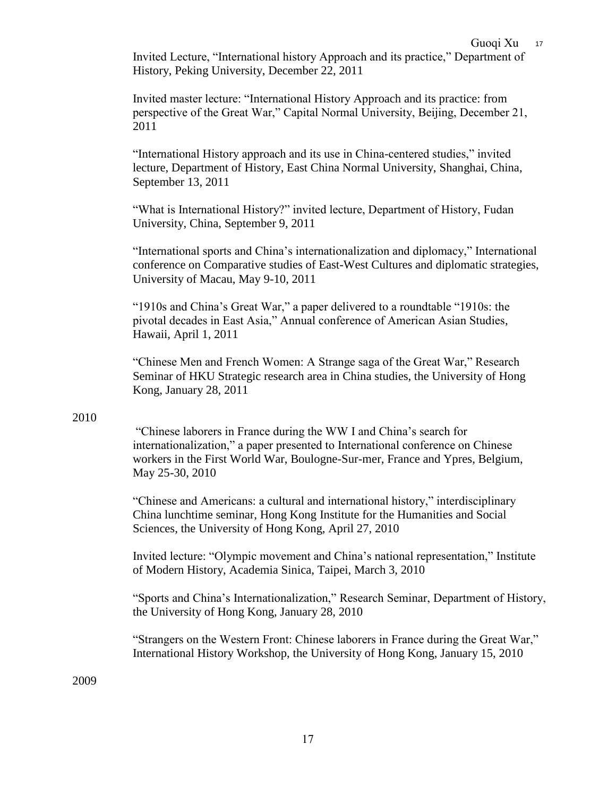Invited Lecture, "International history Approach and its practice," Department of History, Peking University, December 22, 2011

Invited master lecture: "International History Approach and its practice: from perspective of the Great War," Capital Normal University, Beijing, December 21, 2011

"International History approach and its use in China-centered studies," invited lecture, Department of History, East China Normal University, Shanghai, China, September 13, 2011

"What is International History?" invited lecture, Department of History, Fudan University, China, September 9, 2011

"International sports and China's internationalization and diplomacy," International conference on Comparative studies of East-West Cultures and diplomatic strategies, University of Macau, May 9-10, 2011

"1910s and China's Great War," a paper delivered to a roundtable "1910s: the pivotal decades in East Asia," Annual conference of American Asian Studies, Hawaii, April 1, 2011

"Chinese Men and French Women: A Strange saga of the Great War," Research Seminar of HKU Strategic research area in China studies, the University of Hong Kong, January 28, 2011

# 2010

"Chinese laborers in France during the WW I and China's search for internationalization," a paper presented to International conference on Chinese workers in the First World War, Boulogne-Sur-mer, France and Ypres, Belgium, May 25-30, 2010

"Chinese and Americans: a cultural and international history," interdisciplinary China lunchtime seminar, Hong Kong Institute for the Humanities and Social Sciences, the University of Hong Kong, April 27, 2010

Invited lecture: "Olympic movement and China's national representation," Institute of Modern History, Academia Sinica, Taipei, March 3, 2010

"Sports and China's Internationalization," Research Seminar, Department of History, the University of Hong Kong, January 28, 2010

"Strangers on the Western Front: Chinese laborers in France during the Great War," International History Workshop, the University of Hong Kong, January 15, 2010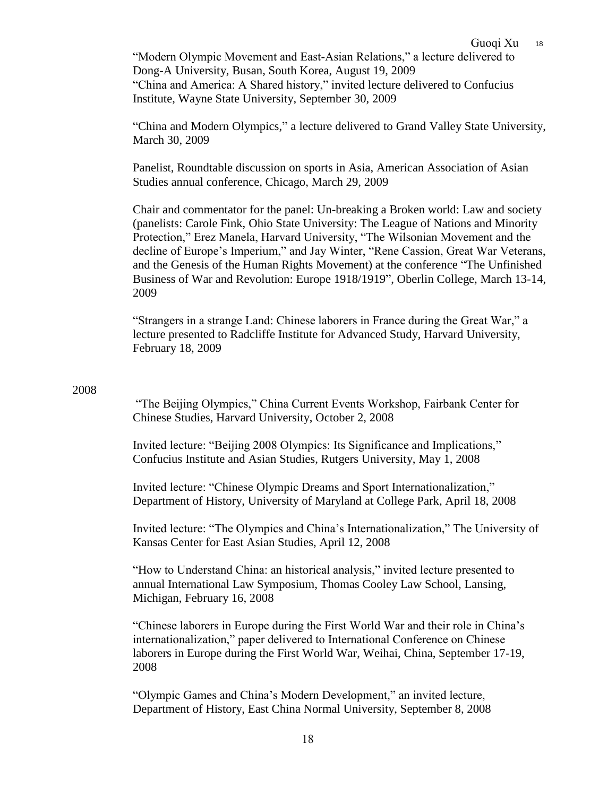"Modern Olympic Movement and East-Asian Relations," a lecture delivered to Dong-A University, Busan, South Korea, August 19, 2009 "China and America: A Shared history," invited lecture delivered to Confucius Institute, Wayne State University, September 30, 2009

"China and Modern Olympics," a lecture delivered to Grand Valley State University, March 30, 2009

Panelist, Roundtable discussion on sports in Asia, American Association of Asian Studies annual conference, Chicago, March 29, 2009

Chair and commentator for the panel: Un-breaking a Broken world: Law and society (panelists: Carole Fink, Ohio State University: The League of Nations and Minority Protection," Erez Manela, Harvard University, "The Wilsonian Movement and the decline of Europe's Imperium," and Jay Winter, "Rene Cassion, Great War Veterans, and the Genesis of the Human Rights Movement) at the conference "The Unfinished Business of War and Revolution: Europe 1918/1919", Oberlin College, March 13-14, 2009

"Strangers in a strange Land: Chinese laborers in France during the Great War," a lecture presented to Radcliffe Institute for Advanced Study, Harvard University, February 18, 2009

# 2008

"The Beijing Olympics," China Current Events Workshop, Fairbank Center for Chinese Studies, Harvard University, October 2, 2008

Invited lecture: "Beijing 2008 Olympics: Its Significance and Implications," Confucius Institute and Asian Studies, Rutgers University, May 1, 2008

Invited lecture: "Chinese Olympic Dreams and Sport Internationalization," Department of History, University of Maryland at College Park, April 18, 2008

Invited lecture: "The Olympics and China's Internationalization," The University of Kansas Center for East Asian Studies, April 12, 2008

"How to Understand China: an historical analysis," invited lecture presented to annual International Law Symposium, Thomas Cooley Law School, Lansing, Michigan, February 16, 2008

"Chinese laborers in Europe during the First World War and their role in China's internationalization," paper delivered to International Conference on Chinese laborers in Europe during the First World War, Weihai, China, September 17-19, 2008

"Olympic Games and China's Modern Development," an invited lecture, Department of History, East China Normal University, September 8, 2008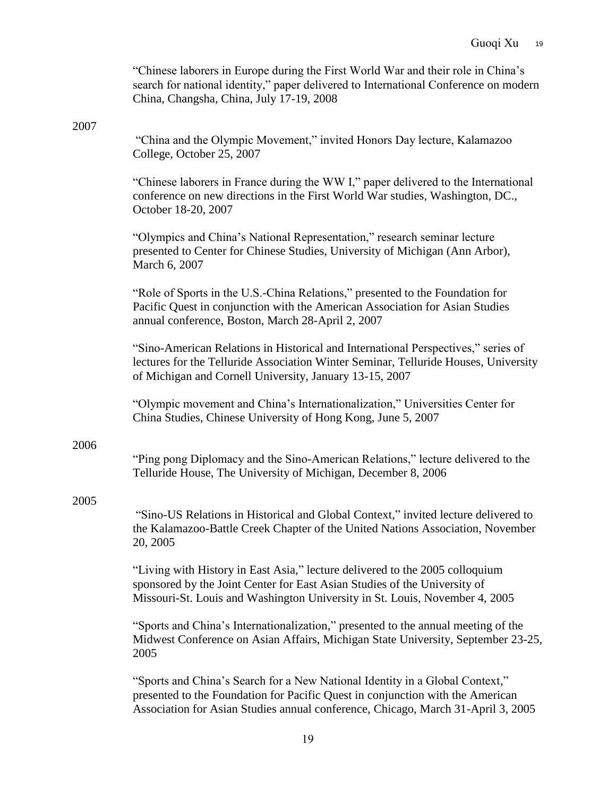|      | "Chinese laborers in Europe during the First World War and their role in China's<br>search for national identity," paper delivered to International Conference on modern<br>China, Changsha, China, July 17-19, 2008                               |
|------|----------------------------------------------------------------------------------------------------------------------------------------------------------------------------------------------------------------------------------------------------|
| 2007 | "China and the Olympic Movement," invited Honors Day lecture, Kalamazoo<br>College, October 25, 2007                                                                                                                                               |
|      | "Chinese laborers in France during the WW I," paper delivered to the International<br>conference on new directions in the First World War studies, Washington, DC.,<br>October 18-20, 2007                                                         |
|      | "Olympics and China's National Representation," research seminar lecture<br>presented to Center for Chinese Studies, University of Michigan (Ann Arbor),<br>March 6, 2007                                                                          |
|      | "Role of Sports in the U.S.-China Relations," presented to the Foundation for<br>Pacific Quest in conjunction with the American Association for Asian Studies<br>annual conference, Boston, March 28-April 2, 2007                                 |
|      | "Sino-American Relations in Historical and International Perspectives," series of<br>lectures for the Telluride Association Winter Seminar, Telluride Houses, University<br>of Michigan and Cornell University, January 13-15, 2007                |
|      | "Olympic movement and China's Internationalization," Universities Center for<br>China Studies, Chinese University of Hong Kong, June 5, 2007                                                                                                       |
| 2006 | "Ping pong Diplomacy and the Sino-American Relations," lecture delivered to the<br>Telluride House, The University of Michigan, December 8, 2006                                                                                                   |
| 2005 | "Sino-US Relations in Historical and Global Context," invited lecture delivered to<br>the Kalamazoo-Battle Creek Chapter of the United Nations Association, November<br>20, 2005                                                                   |
|      | "Living with History in East Asia," lecture delivered to the 2005 colloquium<br>sponsored by the Joint Center for East Asian Studies of the University of<br>Missouri-St. Louis and Washington University in St. Louis, November 4, 2005           |
|      | "Sports and China's Internationalization," presented to the annual meeting of the<br>Midwest Conference on Asian Affairs, Michigan State University, September 23-25,<br>2005                                                                      |
|      | "Sports and China's Search for a New National Identity in a Global Context,"<br>presented to the Foundation for Pacific Quest in conjunction with the American<br>Association for Asian Studies annual conference, Chicago, March 31-April 3, 2005 |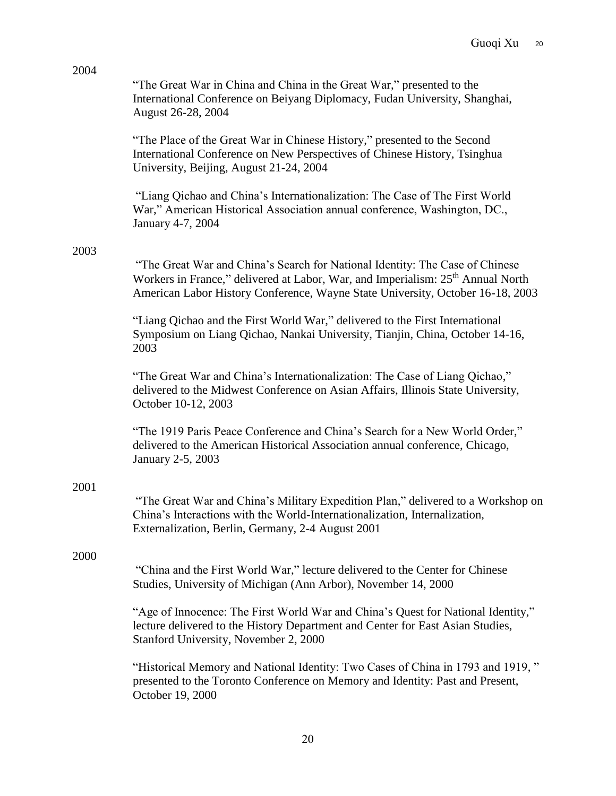|      | "The Great War in China and China in the Great War," presented to the<br>International Conference on Beiyang Diplomacy, Fudan University, Shanghai,<br>August 26-28, 2004                                                                                     |
|------|---------------------------------------------------------------------------------------------------------------------------------------------------------------------------------------------------------------------------------------------------------------|
|      | "The Place of the Great War in Chinese History," presented to the Second<br>International Conference on New Perspectives of Chinese History, Tsinghua<br>University, Beijing, August 21-24, 2004                                                              |
|      | "Liang Qichao and China's Internationalization: The Case of The First World<br>War," American Historical Association annual conference, Washington, DC.,<br>January 4-7, 2004                                                                                 |
| 2003 |                                                                                                                                                                                                                                                               |
|      | "The Great War and China's Search for National Identity: The Case of Chinese<br>Workers in France," delivered at Labor, War, and Imperialism: 25 <sup>th</sup> Annual North<br>American Labor History Conference, Wayne State University, October 16-18, 2003 |
|      | "Liang Qichao and the First World War," delivered to the First International<br>Symposium on Liang Qichao, Nankai University, Tianjin, China, October 14-16,<br>2003                                                                                          |
|      | "The Great War and China's Internationalization: The Case of Liang Qichao,"<br>delivered to the Midwest Conference on Asian Affairs, Illinois State University,<br>October 10-12, 2003                                                                        |
|      | "The 1919 Paris Peace Conference and China's Search for a New World Order,"<br>delivered to the American Historical Association annual conference, Chicago,<br>January 2-5, 2003                                                                              |
| 2001 | "The Great War and China's Military Expedition Plan," delivered to a Workshop on<br>China's Interactions with the World-Internationalization, Internalization,<br>Externalization, Berlin, Germany, 2-4 August 2001                                           |
| 2000 |                                                                                                                                                                                                                                                               |
|      | "China and the First World War," lecture delivered to the Center for Chinese<br>Studies, University of Michigan (Ann Arbor), November 14, 2000                                                                                                                |
|      | "Age of Innocence: The First World War and China's Quest for National Identity,"<br>lecture delivered to the History Department and Center for East Asian Studies,<br>Stanford University, November 2, 2000                                                   |
|      | "Historical Memory and National Identity: Two Cases of China in 1793 and 1919,"<br>presented to the Toronto Conference on Memory and Identity: Past and Present,<br>October 19, 2000                                                                          |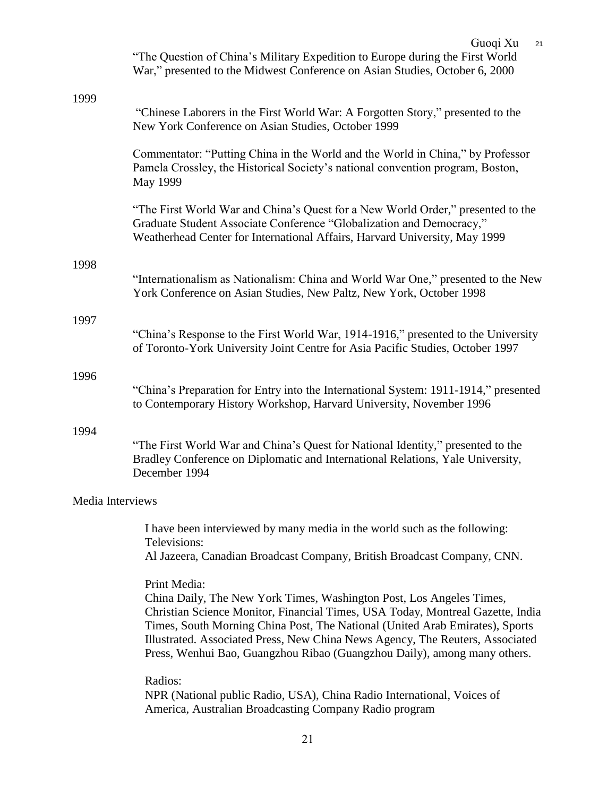|                  | Guoqi Xu<br>21<br>"The Question of China's Military Expedition to Europe during the First World<br>War," presented to the Midwest Conference on Asian Studies, October 6, 2000                                                                                                                                                                                                                                      |
|------------------|---------------------------------------------------------------------------------------------------------------------------------------------------------------------------------------------------------------------------------------------------------------------------------------------------------------------------------------------------------------------------------------------------------------------|
| 1999             | "Chinese Laborers in the First World War: A Forgotten Story," presented to the<br>New York Conference on Asian Studies, October 1999                                                                                                                                                                                                                                                                                |
|                  | Commentator: "Putting China in the World and the World in China," by Professor<br>Pamela Crossley, the Historical Society's national convention program, Boston,<br><b>May 1999</b>                                                                                                                                                                                                                                 |
|                  | "The First World War and China's Quest for a New World Order," presented to the<br>Graduate Student Associate Conference "Globalization and Democracy,"<br>Weatherhead Center for International Affairs, Harvard University, May 1999                                                                                                                                                                               |
| 1998             |                                                                                                                                                                                                                                                                                                                                                                                                                     |
|                  | "Internationalism as Nationalism: China and World War One," presented to the New<br>York Conference on Asian Studies, New Paltz, New York, October 1998                                                                                                                                                                                                                                                             |
| 1997             |                                                                                                                                                                                                                                                                                                                                                                                                                     |
|                  | "China's Response to the First World War, 1914-1916," presented to the University<br>of Toronto-York University Joint Centre for Asia Pacific Studies, October 1997                                                                                                                                                                                                                                                 |
| 1996             |                                                                                                                                                                                                                                                                                                                                                                                                                     |
|                  | "China's Preparation for Entry into the International System: 1911-1914," presented<br>to Contemporary History Workshop, Harvard University, November 1996                                                                                                                                                                                                                                                          |
| 1994             | "The First World War and China's Quest for National Identity," presented to the<br>Bradley Conference on Diplomatic and International Relations, Yale University,<br>December 1994                                                                                                                                                                                                                                  |
| Media Interviews |                                                                                                                                                                                                                                                                                                                                                                                                                     |
|                  | I have been interviewed by many media in the world such as the following:<br>Televisions:                                                                                                                                                                                                                                                                                                                           |
|                  | Al Jazeera, Canadian Broadcast Company, British Broadcast Company, CNN.                                                                                                                                                                                                                                                                                                                                             |
|                  | Print Media:<br>China Daily, The New York Times, Washington Post, Los Angeles Times,<br>Christian Science Monitor, Financial Times, USA Today, Montreal Gazette, India<br>Times, South Morning China Post, The National (United Arab Emirates), Sports<br>Illustrated. Associated Press, New China News Agency, The Reuters, Associated<br>Press, Wenhui Bao, Guangzhou Ribao (Guangzhou Daily), among many others. |
|                  | Radios:<br>NPR (National public Radio, USA), China Radio International, Voices of<br>America, Australian Broadcasting Company Radio program                                                                                                                                                                                                                                                                         |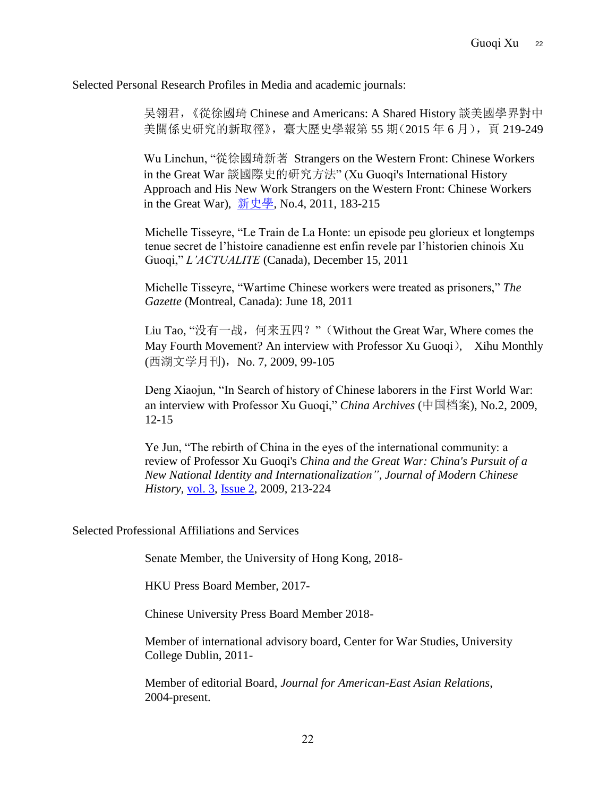Selected Personal Research Profiles in Media and academic journals:

吴翎君,《從徐國琦 Chinese and Americans: A Shared History 談美國學界對中 美關係史研究的新取徑》,臺大歷史學報第 55 期(2015年 6月),頁 219-249

Wu Linchun, "從徐國琦新著 Strangers on the Western Front: Chinese Workers in the Great War 談國際史的研究方法" (Xu Guoqi's International History Approach and His New Work Strangers on the Western Front: Chinese Workers in the Great War), [新史學](http://readopac1.ncl.edu.tw/nclJournal/search/guide/search_result.jsp?dtdId=000075&search_index=JT&search_mode=&search_value=%E6%96%B0%E5%8F%B2%E5%AD%B8$&la=ch&requery=true), No.4, 2011, 183-215

Michelle Tisseyre, "Le Train de La Honte: un episode peu glorieux et longtemps tenue secret de l'histoire canadienne est enfin revele par l'historien chinois Xu Guoqi," *L'ACTUALITE* (Canada), December 15, 2011

Michelle Tisseyre, "Wartime Chinese workers were treated as prisoners," *The Gazette* (Montreal, Canada): June 18, 2011

Liu Tao, "没有一战, 何来五四?" (Without the Great War, Where comes the May Fourth Movement? An interview with Professor Xu Guoqi), Xihu Monthly (西湖文学月刊), No. 7, 2009, 99-105

Deng Xiaojun, "In Search of history of Chinese laborers in the First World War: an interview with Professor Xu Guoqi," *China Archives* (中国档案), No.2, 2009, 12-15

Ye Jun, "The rebirth of China in the eyes of the international community: a review of Professor Xu Guoqi's *China and the Great War: China's Pursuit of a New National Identity and Internationalization"*, *Journal of Modern Chinese History*, [vol.](http://www.tandfonline.com/loi/rmoh20?open=3#vol_3) 3, [Issue 2,](http://www.tandfonline.com/toc/rmoh20/3/2) 2009, 213-224

Selected Professional Affiliations and Services

Senate Member, the University of Hong Kong, 2018-

HKU Press Board Member, 2017-

Chinese University Press Board Member 2018-

Member of international advisory board, Center for War Studies, University College Dublin, 2011-

Member of editorial Board, *Journal for American-East Asian Relations*, 2004-present.